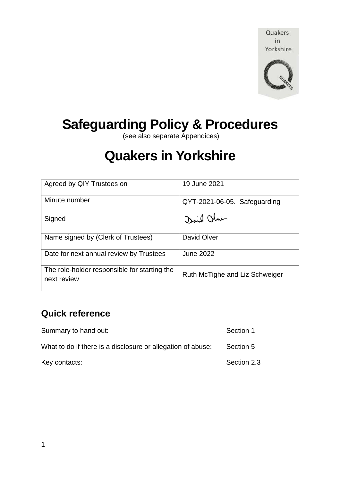Quakers in Yorkshire



# **Safeguarding Policy & Procedures**

(see also separate Appendices)

# **Quakers in Yorkshire**

| Agreed by QIY Trustees on                                   | 19 June 2021                   |
|-------------------------------------------------------------|--------------------------------|
| Minute number                                               | QYT-2021-06-05. Safeguarding   |
| Signed                                                      | David Ohne                     |
| Name signed by (Clerk of Trustees)                          | David Olver                    |
| Date for next annual review by Trustees                     | <b>June 2022</b>               |
| The role-holder responsible for starting the<br>next review | Ruth McTighe and Liz Schweiger |

# **Quick reference**

| Summary to hand out:                                        | Section 1   |
|-------------------------------------------------------------|-------------|
| What to do if there is a disclosure or allegation of abuse: | Section 5   |
| Key contacts:                                               | Section 2.3 |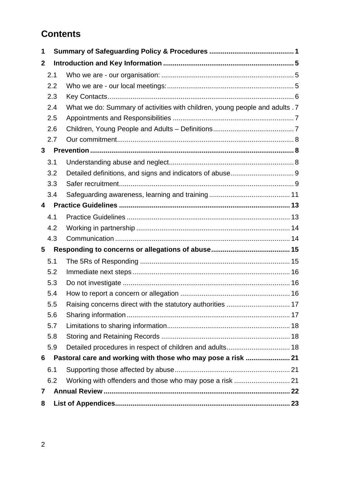# **Contents**

| 1              |         |                                                                              |  |
|----------------|---------|------------------------------------------------------------------------------|--|
| $\mathbf{2}$   |         |                                                                              |  |
|                | 2.1     |                                                                              |  |
|                | 2.2     |                                                                              |  |
|                | 2.3     |                                                                              |  |
|                | 2.4     | What we do: Summary of activities with children, young people and adults . 7 |  |
|                | 2.5     |                                                                              |  |
|                | 2.6     |                                                                              |  |
|                | 2.7     |                                                                              |  |
| $\mathbf{3}$   |         |                                                                              |  |
|                | 3.1     |                                                                              |  |
|                | 3.2     |                                                                              |  |
|                | 3.3     |                                                                              |  |
|                | 3.4     |                                                                              |  |
| 4              |         |                                                                              |  |
|                | 4.1     |                                                                              |  |
|                | 4.2     |                                                                              |  |
|                | 4.3     |                                                                              |  |
| 5              |         |                                                                              |  |
|                | 5.1     |                                                                              |  |
|                | 5.2     |                                                                              |  |
|                | 5.3     |                                                                              |  |
|                | 5.4     |                                                                              |  |
|                | $5.5\,$ | Raising concerns direct with the statutory authorities  17                   |  |
|                | 5.6     |                                                                              |  |
|                | 5.7     |                                                                              |  |
|                | 5.8     |                                                                              |  |
|                | 5.9     | Detailed procedures in respect of children and adults 18                     |  |
| 6              |         | Pastoral care and working with those who may pose a risk  21                 |  |
|                | 6.1     |                                                                              |  |
|                | 6.2     | Working with offenders and those who may pose a risk  21                     |  |
| $\overline{7}$ |         |                                                                              |  |
| 8              |         |                                                                              |  |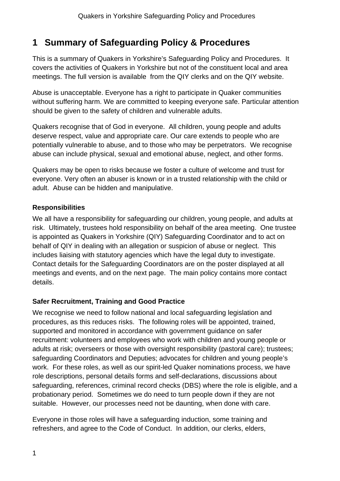# **1 Summary of Safeguarding Policy & Procedures**

This is a summary of Quakers in Yorkshire's Safeguarding Policy and Procedures. It covers the activities of Quakers in Yorkshire but not of the constituent local and area meetings. The full version is available from the QIY clerks and on the QIY website.

Abuse is unacceptable. Everyone has a right to participate in Quaker communities without suffering harm. We are committed to keeping everyone safe. Particular attention should be given to the safety of children and vulnerable adults.

Quakers recognise that of God in everyone. All children, young people and adults deserve respect, value and appropriate care. Our care extends to people who are potentially vulnerable to abuse, and to those who may be perpetrators. We recognise abuse can include physical, sexual and emotional abuse, neglect, and other forms.

Quakers may be open to risks because we foster a culture of welcome and trust for everyone. Very often an abuser is known or in a trusted relationship with the child or adult. Abuse can be hidden and manipulative.

#### **Responsibilities**

We all have a responsibility for safeguarding our children, young people, and adults at risk. Ultimately, trustees hold responsibility on behalf of the area meeting. One trustee is appointed as Quakers in Yorkshire (QIY) Safeguarding Coordinator and to act on behalf of QIY in dealing with an allegation or suspicion of abuse or neglect. This includes liaising with statutory agencies which have the legal duty to investigate. Contact details for the Safeguarding Coordinators are on the poster displayed at all meetings and events, and on the next page. The main policy contains more contact details.

### **Safer Recruitment, Training and Good Practice**

We recognise we need to follow national and local safeguarding legislation and procedures, as this reduces risks. The following roles will be appointed, trained, supported and monitored in accordance with government guidance on safer recruitment: volunteers and employees who work with children and young people or adults at risk; overseers or those with oversight responsibility (pastoral care); trustees; safeguarding Coordinators and Deputies; advocates for children and young people's work. For these roles, as well as our spirit-led Quaker nominations process, we have role descriptions, personal details forms and self-declarations, discussions about safeguarding, references, criminal record checks (DBS) where the role is eligible, and a probationary period. Sometimes we do need to turn people down if they are not suitable. However, our processes need not be daunting, when done with care.

Everyone in those roles will have a safeguarding induction, some training and refreshers, and agree to the Code of Conduct. In addition, our clerks, elders,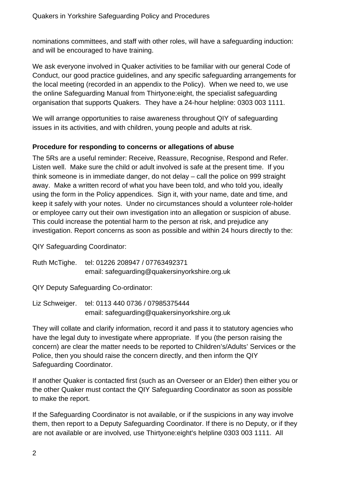nominations committees, and staff with other roles, will have a safeguarding induction: and will be encouraged to have training.

We ask everyone involved in Quaker activities to be familiar with our general Code of Conduct, our good practice guidelines, and any specific safeguarding arrangements for the local meeting (recorded in an appendix to the Policy). When we need to, we use the online Safeguarding Manual from Thirtyone:eight, the specialist safeguarding organisation that supports Quakers. They have a 24-hour helpline: 0303 003 1111.

We will arrange opportunities to raise awareness throughout QIY of safeguarding issues in its activities, and with children, young people and adults at risk.

#### **Procedure for responding to concerns or allegations of abuse**

The 5Rs are a useful reminder: Receive, Reassure, Recognise, Respond and Refer. Listen well. Make sure the child or adult involved is safe at the present time. If you think someone is in immediate danger, do not delay – call the police on 999 straight away. Make a written record of what you have been told, and who told you, ideally using the form in the Policy appendices. Sign it, with your name, date and time, and keep it safely with your notes. Under no circumstances should a volunteer role-holder or employee carry out their own investigation into an allegation or suspicion of abuse. This could increase the potential harm to the person at risk, and prejudice any investigation. Report concerns as soon as possible and within 24 hours directly to the:

QIY Safeguarding Coordinator:

Ruth McTighe. tel: 01226 208947 / 07763492371 email: safeguarding@quakersinyorkshire.org.uk

QIY Deputy Safeguarding Co-ordinator:

Liz Schweiger. tel: 0113 440 0736 / 07985375444 email: safeguarding@quakersinyorkshire.org.uk

They will collate and clarify information, record it and pass it to statutory agencies who have the legal duty to investigate where appropriate. If you (the person raising the concern) are clear the matter needs to be reported to Children's/Adults' Services or the Police, then you should raise the concern directly, and then inform the QIY Safeguarding Coordinator.

If another Quaker is contacted first (such as an Overseer or an Elder) then either you or the other Quaker must contact the QIY Safeguarding Coordinator as soon as possible to make the report.

If the Safeguarding Coordinator is not available, or if the suspicions in any way involve them, then report to a Deputy Safeguarding Coordinator. If there is no Deputy, or if they are not available or are involved, use Thirtyone:eight's helpline 0303 003 1111. All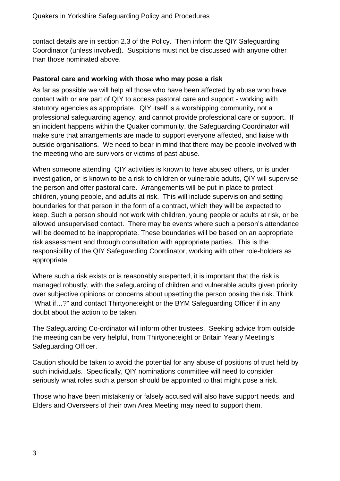contact details are in section 2.3 of the Policy. Then inform the QIY Safeguarding Coordinator (unless involved). Suspicions must not be discussed with anyone other than those nominated above.

#### **Pastoral care and working with those who may pose a risk**

As far as possible we will help all those who have been affected by abuse who have contact with or are part of QIY to access pastoral care and support - working with statutory agencies as appropriate. QIY itself is a worshipping community, not a professional safeguarding agency, and cannot provide professional care or support. If an incident happens within the Quaker community, the Safeguarding Coordinator will make sure that arrangements are made to support everyone affected, and liaise with outside organisations. We need to bear in mind that there may be people involved with the meeting who are survivors or victims of past abuse.

When someone attending QIY activities is known to have abused others, or is under investigation, or is known to be a risk to children or vulnerable adults, QIY will supervise the person and offer pastoral care. Arrangements will be put in place to protect children, young people, and adults at risk. This will include supervision and setting boundaries for that person in the form of a contract, which they will be expected to keep. Such a person should not work with children, young people or adults at risk, or be allowed unsupervised contact. There may be events where such a person's attendance will be deemed to be inappropriate. These boundaries will be based on an appropriate risk assessment and through consultation with appropriate parties. This is the responsibility of the QIY Safeguarding Coordinator, working with other role-holders as appropriate.

Where such a risk exists or is reasonably suspected, it is important that the risk is managed robustly, with the safeguarding of children and vulnerable adults given priority over subjective opinions or concerns about upsetting the person posing the risk. Think "What if…?" and contact Thirtyone:eight or the BYM Safeguarding Officer if in any doubt about the action to be taken.

The Safeguarding Co-ordinator will inform other trustees. Seeking advice from outside the meeting can be very helpful, from Thirtyone:eight or Britain Yearly Meeting's Safeguarding Officer.

Caution should be taken to avoid the potential for any abuse of positions of trust held by such individuals. Specifically, QIY nominations committee will need to consider seriously what roles such a person should be appointed to that might pose a risk.

Those who have been mistakenly or falsely accused will also have support needs, and Elders and Overseers of their own Area Meeting may need to support them.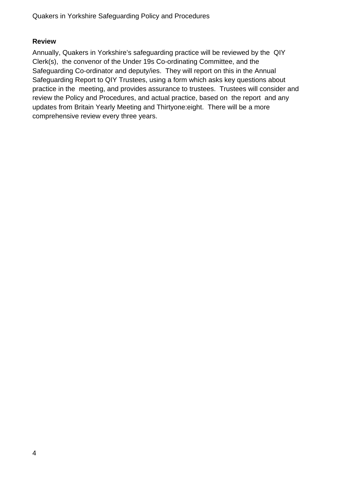#### **Review**

Annually, Quakers in Yorkshire's safeguarding practice will be reviewed by the QIY Clerk(s), the convenor of the Under 19s Co-ordinating Committee, and the Safeguarding Co-ordinator and deputy/ies. They will report on this in the Annual Safeguarding Report to QIY Trustees, using a form which asks key questions about practice in the meeting, and provides assurance to trustees. Trustees will consider and review the Policy and Procedures, and actual practice, based on the report and any updates from Britain Yearly Meeting and Thirtyone:eight. There will be a more comprehensive review every three years.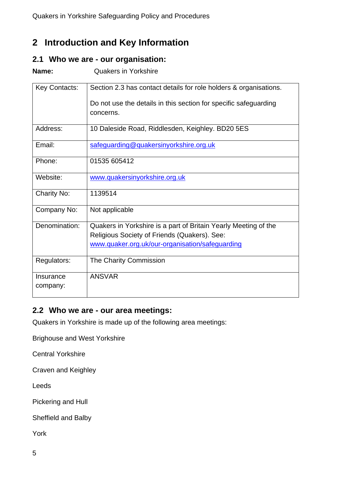# **2 Introduction and Key Information**

#### **2.1 Who we are - our organisation:**

**Name:** Quakers in Yorkshire

| <b>Key Contacts:</b>  | Section 2.3 has contact details for role holders & organisations.                                                                                                  |  |  |
|-----------------------|--------------------------------------------------------------------------------------------------------------------------------------------------------------------|--|--|
|                       | Do not use the details in this section for specific safeguarding<br>concerns.                                                                                      |  |  |
| Address:              | 10 Daleside Road, Riddlesden, Keighley. BD20 5ES                                                                                                                   |  |  |
| Email:                | safeguarding@quakersinyorkshire.org.uk                                                                                                                             |  |  |
| Phone:                | 01535 605412                                                                                                                                                       |  |  |
| Website:              | www.quakersinyorkshire.org.uk                                                                                                                                      |  |  |
| <b>Charity No:</b>    | 1139514                                                                                                                                                            |  |  |
| Company No:           | Not applicable                                                                                                                                                     |  |  |
| Denomination:         | Quakers in Yorkshire is a part of Britain Yearly Meeting of the<br>Religious Society of Friends (Quakers). See:<br>www.quaker.org.uk/our-organisation/safeguarding |  |  |
| Regulators:           | The Charity Commission                                                                                                                                             |  |  |
| Insurance<br>company: | <b>ANSVAR</b>                                                                                                                                                      |  |  |

### **2.2 Who we are - our area meetings:**

Quakers in Yorkshire is made up of the following area meetings:

Brighouse and West Yorkshire

Central Yorkshire

Craven and Keighley

Leeds

Pickering and Hull

Sheffield and Balby

York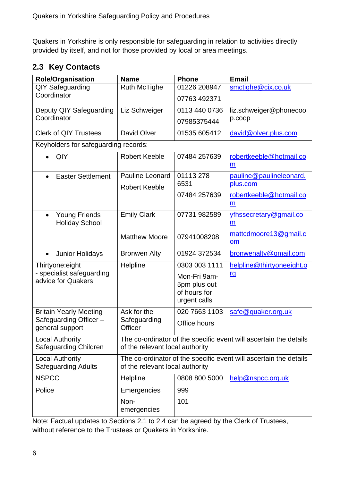Quakers in Yorkshire is only responsible for safeguarding in relation to activities directly provided by itself, and not for those provided by local or area meetings.

# **2.3 Key Contacts**

| <b>Role/Organisation</b>                        | <b>Name</b>                                              | <b>Phone</b>     | <b>Email</b>                                                      |  |  |  |
|-------------------------------------------------|----------------------------------------------------------|------------------|-------------------------------------------------------------------|--|--|--|
| <b>QIY Safeguarding</b>                         | <b>Ruth McTighe</b>                                      | 01226 208947     | smctighe@cix.co.uk                                                |  |  |  |
| Coordinator                                     |                                                          | 07763 492371     |                                                                   |  |  |  |
| Deputy QIY Safeguarding                         | Liz Schweiger                                            | 0113 440 0736    | liz.schweiger@phonecoo                                            |  |  |  |
| Coordinator                                     |                                                          | 07985375444      | p.coop                                                            |  |  |  |
| <b>Clerk of QIY Trustees</b>                    | David Olver                                              | 01535 605412     | david@olver.plus.com                                              |  |  |  |
| Keyholders for safeguarding records:            |                                                          |                  |                                                                   |  |  |  |
| QIY                                             | <b>Robert Keeble</b>                                     | 07484 257639     | robertkeeble@hotmail.co                                           |  |  |  |
|                                                 |                                                          |                  | m                                                                 |  |  |  |
| <b>Easter Settlement</b>                        | <b>Pauline Leonard</b>                                   | 01113278<br>6531 | pauline@paulineleonard.                                           |  |  |  |
|                                                 | <b>Robert Keeble</b>                                     |                  | plus.com                                                          |  |  |  |
|                                                 |                                                          | 07484 257639     | robertkeeble@hotmail.co                                           |  |  |  |
|                                                 |                                                          |                  | m                                                                 |  |  |  |
| <b>Young Friends</b><br>$\bullet$               | <b>Emily Clark</b>                                       | 07731 982589     | yfhssecretary@gmail.co                                            |  |  |  |
| <b>Holiday School</b>                           |                                                          |                  | $\underline{m}$                                                   |  |  |  |
|                                                 | <b>Matthew Moore</b>                                     | 07941008208      | mattcdmoore13@gmail.c                                             |  |  |  |
|                                                 |                                                          |                  | om                                                                |  |  |  |
| <b>Junior Holidays</b><br>$\bullet$             | <b>Bronwen Alty</b>                                      | 01924 372534     | bronwenalty@gmail.com                                             |  |  |  |
| Thirtyone:eight                                 | Helpline                                                 | 0303 003 1111    | helpline@thirtyoneeight.o                                         |  |  |  |
| - specialist safeguarding<br>advice for Quakers |                                                          | Mon-Fri 9am-     | <u>rg</u>                                                         |  |  |  |
|                                                 |                                                          | 5pm plus out     |                                                                   |  |  |  |
|                                                 |                                                          | of hours for     |                                                                   |  |  |  |
|                                                 |                                                          | urgent calls     |                                                                   |  |  |  |
| <b>Britain Yearly Meeting</b>                   | Ask for the                                              | 020 7663 1103    | safe@quaker.org.uk                                                |  |  |  |
| Safeguarding Officer-<br>general support        | Safeguarding<br>Officer                                  | Office hours     |                                                                   |  |  |  |
| <b>Local Authority</b>                          |                                                          |                  | The co-ordinator of the specific event will ascertain the details |  |  |  |
|                                                 | Safeguarding Children<br>of the relevant local authority |                  |                                                                   |  |  |  |
| <b>Local Authority</b>                          |                                                          |                  | The co-ordinator of the specific event will ascertain the details |  |  |  |
| <b>Safeguarding Adults</b>                      | of the relevant local authority                          |                  |                                                                   |  |  |  |
| <b>NSPCC</b>                                    | Helpline                                                 | 0808 800 5000    | help@nspcc.org.uk                                                 |  |  |  |
| Police                                          | Emergencies                                              | 999              |                                                                   |  |  |  |
|                                                 | Non-                                                     | 101              |                                                                   |  |  |  |
|                                                 | emergencies                                              |                  |                                                                   |  |  |  |

Note: Factual updates to Sections 2.1 to 2.4 can be agreed by the Clerk of Trustees, without reference to the Trustees or Quakers in Yorkshire.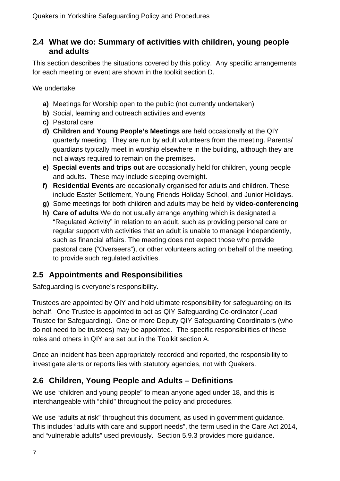### **2.4 What we do: Summary of activities with children, young people and adults**

This section describes the situations covered by this policy. Any specific arrangements for each meeting or event are shown in the toolkit section D.

We undertake:

- **a)** Meetings for Worship open to the public (not currently undertaken)
- **b)** Social, learning and outreach activities and events
- **c)** Pastoral care
- **d) Children and Young People's Meetings** are held occasionally at the QIY quarterly meeting. They are run by adult volunteers from the meeting. Parents/ guardians typically meet in worship elsewhere in the building, although they are not always required to remain on the premises.
- **e) Special events and trips out** are occasionally held for children, young people and adults. These may include sleeping overnight.
- **f) Residential Events** are occasionally organised for adults and children. These include Easter Settlement, Young Friends Holiday School, and Junior Holidays.
- **g)** Some meetings for both children and adults may be held by **video-conferencing**
- **h) Care of adults** We do not usually arrange anything which is designated a "Regulated Activity" in relation to an adult, such as providing personal care or regular support with activities that an adult is unable to manage independently, such as financial affairs. The meeting does not expect those who provide pastoral care ("Overseers"), or other volunteers acting on behalf of the meeting, to provide such regulated activities.

# **2.5 Appointments and Responsibilities**

Safeguarding is everyone's responsibility.

Trustees are appointed by QIY and hold ultimate responsibility for safeguarding on its behalf. One Trustee is appointed to act as QIY Safeguarding Co-ordinator (Lead Trustee for Safeguarding). One or more Deputy QIY Safeguarding Coordinators (who do not need to be trustees) may be appointed. The specific responsibilities of these roles and others in QIY are set out in the Toolkit section A.

Once an incident has been appropriately recorded and reported, the responsibility to investigate alerts or reports lies with statutory agencies, not with Quakers.

# **2.6 Children, Young People and Adults – Definitions**

We use "children and young people" to mean anyone aged under 18, and this is interchangeable with "child" throughout the policy and procedures.

We use "adults at risk" throughout this document, as used in government guidance. This includes "adults with care and support needs", the term used in the Care Act 2014, and "vulnerable adults" used previously. Section 5.9.3 provides more guidance.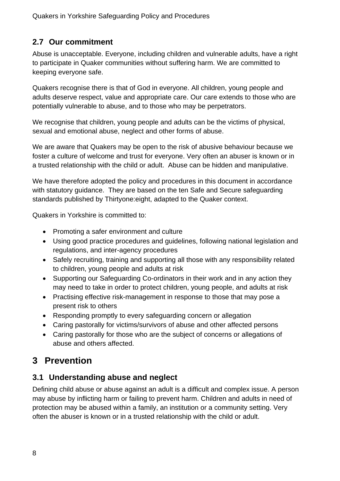# **2.7 Our commitment**

Abuse is unacceptable. Everyone, including children and vulnerable adults, have a right to participate in Quaker communities without suffering harm. We are committed to keeping everyone safe.

Quakers recognise there is that of God in everyone. All children, young people and adults deserve respect, value and appropriate care. Our care extends to those who are potentially vulnerable to abuse, and to those who may be perpetrators.

We recognise that children, young people and adults can be the victims of physical, sexual and emotional abuse, neglect and other forms of abuse.

We are aware that Quakers may be open to the risk of abusive behaviour because we foster a culture of welcome and trust for everyone. Very often an abuser is known or in a trusted relationship with the child or adult. Abuse can be hidden and manipulative.

We have therefore adopted the policy and procedures in this document in accordance with statutory guidance. They are based on the ten Safe and Secure safeguarding standards published by Thirtyone:eight, adapted to the Quaker context.

Quakers in Yorkshire is committed to:

- Promoting a safer environment and culture
- Using good practice procedures and guidelines, following national legislation and regulations, and inter-agency procedures
- Safely recruiting, training and supporting all those with any responsibility related to children, young people and adults at risk
- Supporting our Safeguarding Co-ordinators in their work and in any action they may need to take in order to protect children, young people, and adults at risk
- Practising effective risk-management in response to those that may pose a present risk to others
- Responding promptly to every safeguarding concern or allegation
- Caring pastorally for victims/survivors of abuse and other affected persons
- Caring pastorally for those who are the subject of concerns or allegations of abuse and others affected.

# **3 Prevention**

# **3.1 Understanding abuse and neglect**

Defining child abuse or abuse against an adult is a difficult and complex issue. A person may abuse by inflicting harm or failing to prevent harm. Children and adults in need of protection may be abused within a family, an institution or a community setting. Very often the abuser is known or in a trusted relationship with the child or adult.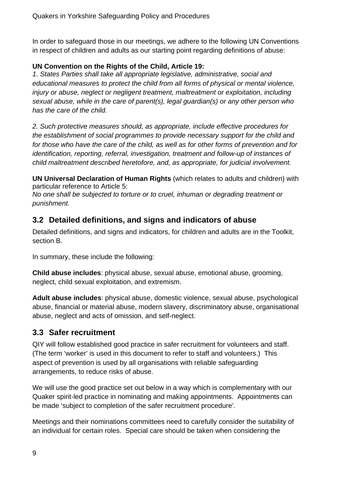In order to safeguard those in our meetings, we adhere to the following UN Conventions in respect of children and adults as our starting point regarding definitions of abuse:

#### **UN Convention on the Rights of the Child, Article 19:**

*1. States Parties shall take all appropriate legislative, administrative, social and educational measures to protect the child from all forms of physical or mental violence, injury or abuse, neglect or negligent treatment, maltreatment or exploitation, including sexual abuse, while in the care of parent(s), legal guardian(s) or any other person who has the care of the child.* 

*2. Such protective measures should, as appropriate, include effective procedures for the establishment of social programmes to provide necessary support for the child and for those who have the care of the child, as well as for other forms of prevention and for identification, reporting, referral, investigation, treatment and follow-up of instances of child maltreatment described heretofore, and, as appropriate, for judicial involvement.* 

**UN Universal Declaration of Human Rights** (which relates to adults and children) with particular reference to Article 5:

*No one shall be subjected to torture or to cruel, inhuman or degrading treatment or punishment.* 

# **3.2 Detailed definitions, and signs and indicators of abuse**

Detailed definitions, and signs and indicators, for children and adults are in the Toolkit, section B.

In summary, these include the following:

**Child abuse includes**: physical abuse, sexual abuse, emotional abuse, grooming, neglect, child sexual exploitation, and extremism.

**Adult abuse includes**: physical abuse, domestic violence, sexual abuse, psychological abuse, financial or material abuse, modern slavery, discriminatory abuse, organisational abuse, neglect and acts of omission, and self-neglect.

# **3.3 Safer recruitment**

QIY will follow established good practice in safer recruitment for volunteers and staff. (The term 'worker' is used in this document to refer to staff and volunteers.) This aspect of prevention is used by all organisations with reliable safeguarding arrangements, to reduce risks of abuse.

We will use the good practice set out below in a way which is complementary with our Quaker spirit-led practice in nominating and making appointments. Appointments can be made 'subject to completion of the safer recruitment procedure'.

Meetings and their nominations committees need to carefully consider the suitability of an individual for certain roles. Special care should be taken when considering the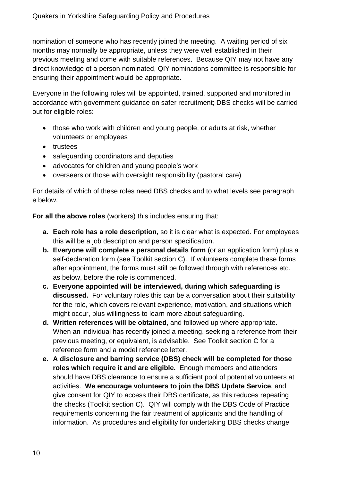nomination of someone who has recently joined the meeting. A waiting period of six months may normally be appropriate, unless they were well established in their previous meeting and come with suitable references. Because QIY may not have any direct knowledge of a person nominated, QIY nominations committee is responsible for ensuring their appointment would be appropriate.

Everyone in the following roles will be appointed, trained, supported and monitored in accordance with government guidance on safer recruitment; DBS checks will be carried out for eligible roles:

- those who work with children and young people, or adults at risk, whether volunteers or employees
- trustees
- safeguarding coordinators and deputies
- advocates for children and young people's work
- overseers or those with oversight responsibility (pastoral care)

For details of which of these roles need DBS checks and to what levels see paragraph e below.

**For all the above roles** (workers) this includes ensuring that:

- **a. Each role has a role description,** so it is clear what is expected. For employees this will be a job description and person specification.
- **b. Everyone will complete a personal details form** (or an application form) plus a self-declaration form (see Toolkit section C). If volunteers complete these forms after appointment, the forms must still be followed through with references etc. as below, before the role is commenced.
- **c. Everyone appointed will be interviewed, during which safeguarding is discussed.** For voluntary roles this can be a conversation about their suitability for the role, which covers relevant experience, motivation, and situations which might occur, plus willingness to learn more about safeguarding.
- **d. Written references will be obtained**, and followed up where appropriate. When an individual has recently joined a meeting, seeking a reference from their previous meeting, or equivalent, is advisable. See Toolkit section C for a reference form and a model reference letter.
- **e. A disclosure and barring service (DBS) check will be completed for those roles which require it and are eligible.** Enough members and attenders should have DBS clearance to ensure a sufficient pool of potential volunteers at activities. **We encourage volunteers to join the DBS Update Service**, and give consent for QIY to access their DBS certificate, as this reduces repeating the checks (Toolkit section C). QIY will comply with the DBS Code of Practice requirements concerning the fair treatment of applicants and the handling of information. As procedures and eligibility for undertaking DBS checks change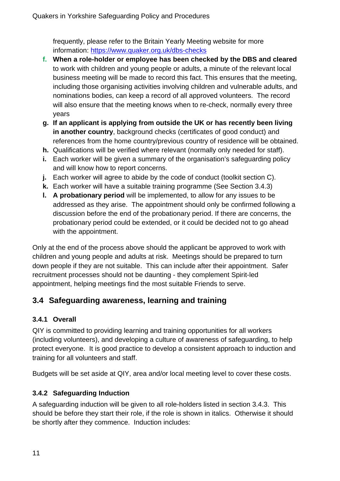frequently, please refer to the Britain Yearly Meeting website for more information: https://www.quaker.org.uk/dbs-checks

- **f. When a role-holder or employee has been checked by the DBS and cleared** to work with children and young people or adults, a minute of the relevant local business meeting will be made to record this fact. This ensures that the meeting, including those organising activities involving children and vulnerable adults, and nominations bodies, can keep a record of all approved volunteers. The record will also ensure that the meeting knows when to re-check, normally every three years
- **g. If an applicant is applying from outside the UK or has recently been living in another country**, background checks (certificates of good conduct) and references from the home country/previous country of residence will be obtained.
- **h.** Qualifications will be verified where relevant (normally only needed for staff).
- **i.** Each worker will be given a summary of the organisation's safeguarding policy and will know how to report concerns.
- **j.** Each worker will agree to abide by the code of conduct (toolkit section C).
- **k.** Each worker will have a suitable training programme (See Section 3.4.3)
- **l. A probationary period** will be implemented, to allow for any issues to be addressed as they arise. The appointment should only be confirmed following a discussion before the end of the probationary period. If there are concerns, the probationary period could be extended, or it could be decided not to go ahead with the appointment.

Only at the end of the process above should the applicant be approved to work with children and young people and adults at risk. Meetings should be prepared to turn down people if they are not suitable. This can include after their appointment. Safer recruitment processes should not be daunting - they complement Spirit-led appointment, helping meetings find the most suitable Friends to serve.

# **3.4 Safeguarding awareness, learning and training**

#### **3.4.1 Overall**

QIY is committed to providing learning and training opportunities for all workers (including volunteers), and developing a culture of awareness of safeguarding, to help protect everyone. It is good practice to develop a consistent approach to induction and training for all volunteers and staff.

Budgets will be set aside at QIY, area and/or local meeting level to cover these costs.

#### **3.4.2 Safeguarding Induction**

A safeguarding induction will be given to all role-holders listed in section 3.4.3. This should be before they start their role, if the role is shown in italics. Otherwise it should be shortly after they commence. Induction includes: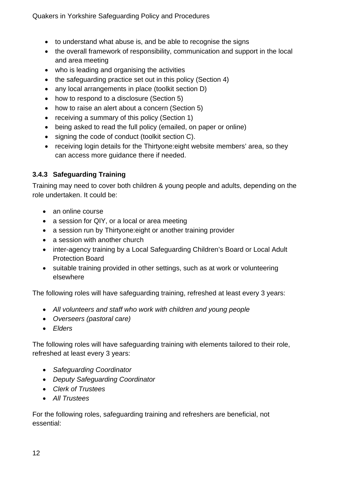- to understand what abuse is, and be able to recognise the signs
- the overall framework of responsibility, communication and support in the local and area meeting
- who is leading and organising the activities
- the safeguarding practice set out in this policy (Section 4)
- any local arrangements in place (toolkit section D)
- how to respond to a disclosure (Section 5)
- how to raise an alert about a concern (Section 5)
- receiving a summary of this policy (Section 1)
- being asked to read the full policy (emailed, on paper or online)
- signing the code of conduct (toolkit section C).
- receiving login details for the Thirtyone:eight website members' area, so they can access more guidance there if needed.

#### **3.4.3 Safeguarding Training**

Training may need to cover both children & young people and adults, depending on the role undertaken. It could be:

- an online course
- a session for QIY, or a local or area meeting
- a session run by Thirtyone: eight or another training provider
- a session with another church
- inter-agency training by a Local Safeguarding Children's Board or Local Adult Protection Board
- suitable training provided in other settings, such as at work or volunteering elsewhere

The following roles will have safeguarding training, refreshed at least every 3 years:

- *All volunteers and staff who work with children and young people*
- *Overseers (pastoral care)*
- *Elders*

The following roles will have safeguarding training with elements tailored to their role, refreshed at least every 3 years:

- *Safeguarding Coordinator*
- *Deputy Safeguarding Coordinator*
- *Clerk of Trustees*
- *All Trustees*

For the following roles, safeguarding training and refreshers are beneficial, not essential: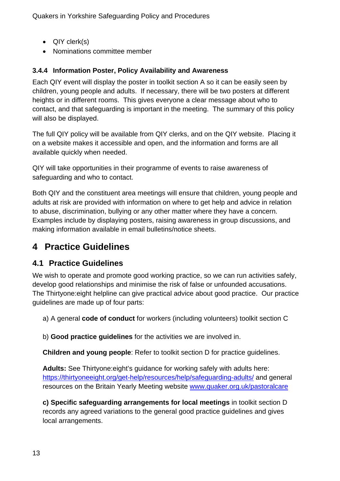- QIY clerk(s)
- Nominations committee member

### **3.4.4 Information Poster, Policy Availability and Awareness**

Each QIY event will display the poster in toolkit section A so it can be easily seen by children, young people and adults. If necessary, there will be two posters at different heights or in different rooms. This gives everyone a clear message about who to contact, and that safeguarding is important in the meeting. The summary of this policy will also be displayed.

The full QIY policy will be available from QIY clerks, and on the QIY website. Placing it on a website makes it accessible and open, and the information and forms are all available quickly when needed.

QIY will take opportunities in their programme of events to raise awareness of safeguarding and who to contact.

Both QIY and the constituent area meetings will ensure that children, young people and adults at risk are provided with information on where to get help and advice in relation to abuse, discrimination, bullying or any other matter where they have a concern. Examples include by displaying posters, raising awareness in group discussions, and making information available in email bulletins/notice sheets.

# **4 Practice Guidelines**

# **4.1 Practice Guidelines**

We wish to operate and promote good working practice, so we can run activities safely, develop good relationships and minimise the risk of false or unfounded accusations. The Thirtyone:eight helpline can give practical advice about good practice. Our practice guidelines are made up of four parts:

a) A general **code of conduct** for workers (including volunteers) toolkit section C

b) **Good practice guidelines** for the activities we are involved in.

**Children and young people**: Refer to toolkit section D for practice guidelines.

**Adults:** See Thirtyone:eight's guidance for working safely with adults here: https://thirtyoneeight.org/get-help/resources/help/safeguarding-adults/ and general resources on the Britain Yearly Meeting website www.quaker.org.uk/pastoralcare

**c) Specific safeguarding arrangements for local meetings** in toolkit section D records any agreed variations to the general good practice guidelines and gives local arrangements.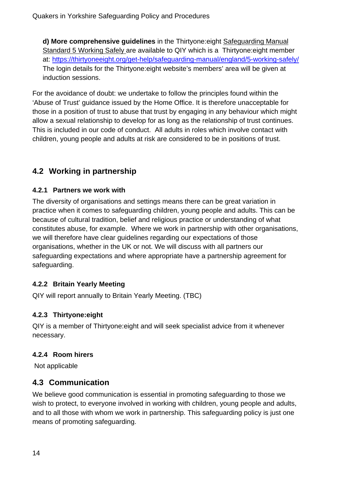**d) More comprehensive guidelines** in the Thirtyone:eight Safeguarding Manual Standard 5 Working Safely are available to QIY which is a Thirtyone:eight member at: https://thirtyoneeight.org/get-help/safeguarding-manual/england/5-working-safely/ The login details for the Thirtyone:eight website's members' area will be given at induction sessions.

For the avoidance of doubt: we undertake to follow the principles found within the 'Abuse of Trust' guidance issued by the Home Office. It is therefore unacceptable for those in a position of trust to abuse that trust by engaging in any behaviour which might allow a sexual relationship to develop for as long as the relationship of trust continues. This is included in our code of conduct. All adults in roles which involve contact with children, young people and adults at risk are considered to be in positions of trust.

# **4.2 Working in partnership**

#### **4.2.1 Partners we work with**

The diversity of organisations and settings means there can be great variation in practice when it comes to safeguarding children, young people and adults. This can be because of cultural tradition, belief and religious practice or understanding of what constitutes abuse, for example. Where we work in partnership with other organisations, we will therefore have clear guidelines regarding our expectations of those organisations, whether in the UK or not. We will discuss with all partners our safeguarding expectations and where appropriate have a partnership agreement for safeguarding.

#### **4.2.2 Britain Yearly Meeting**

QIY will report annually to Britain Yearly Meeting. (TBC)

### **4.2.3 Thirtyone:eight**

QIY is a member of Thirtyone:eight and will seek specialist advice from it whenever necessary.

### **4.2.4 Room hirers**

Not applicable

# **4.3 Communication**

We believe good communication is essential in promoting safeguarding to those we wish to protect, to everyone involved in working with children, young people and adults, and to all those with whom we work in partnership. This safeguarding policy is just one means of promoting safeguarding.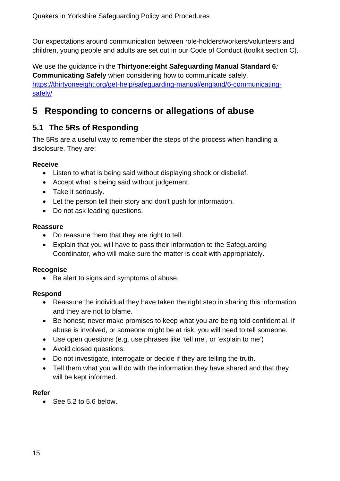Our expectations around communication between role-holders/workers/volunteers and children, young people and adults are set out in our Code of Conduct (toolkit section C).

We use the guidance in the **Thirtyone:eight Safeguarding Manual Standard 6***:*  **Communicating Safely** when considering how to communicate safely. https://thirtyoneeight.org/get-help/safeguarding-manual/england/6-communicatingsafely/

# **5 Responding to concerns or allegations of abuse**

# **5.1 The 5Rs of Responding**

The 5Rs are a useful way to remember the steps of the process when handling a disclosure. They are:

#### **Receive**

- Listen to what is being said without displaying shock or disbelief.
- Accept what is being said without judgement.
- Take it seriously.
- Let the person tell their story and don't push for information.
- Do not ask leading questions.

#### **Reassure**

- Do reassure them that they are right to tell.
- Explain that you will have to pass their information to the Safeguarding Coordinator, who will make sure the matter is dealt with appropriately.

#### **Recognise**

• Be alert to signs and symptoms of abuse.

#### **Respond**

- Reassure the individual they have taken the right step in sharing this information and they are not to blame.
- Be honest; never make promises to keep what you are being told confidential. If abuse is involved, or someone might be at risk, you will need to tell someone.
- Use open questions (e.g. use phrases like 'tell me', or 'explain to me')
- Avoid closed questions.
- Do not investigate, interrogate or decide if they are telling the truth.
- Tell them what you will do with the information they have shared and that they will be kept informed.

#### **Refer**

 $\bullet$  See 5.2 to 5.6 below.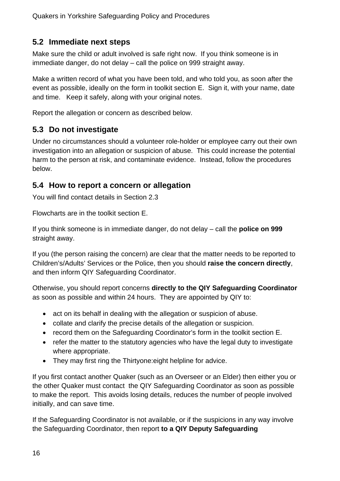# **5.2 Immediate next steps**

Make sure the child or adult involved is safe right now. If you think someone is in immediate danger, do not delay – call the police on 999 straight away.

Make a written record of what you have been told, and who told you, as soon after the event as possible, ideally on the form in toolkit section E. Sign it, with your name, date and time. Keep it safely, along with your original notes.

Report the allegation or concern as described below.

# **5.3 Do not investigate**

Under no circumstances should a volunteer role-holder or employee carry out their own investigation into an allegation or suspicion of abuse. This could increase the potential harm to the person at risk, and contaminate evidence. Instead, follow the procedures below.

# **5.4 How to report a concern or allegation**

You will find contact details in Section 2.3

Flowcharts are in the toolkit section E.

If you think someone is in immediate danger, do not delay – call the **police on 999** straight away.

If you (the person raising the concern) are clear that the matter needs to be reported to Children's/Adults' Services or the Police, then you should **raise the concern directly**, and then inform QIY Safeguarding Coordinator.

Otherwise, you should report concerns **directly to the QIY Safeguarding Coordinator** as soon as possible and within 24 hours. They are appointed by QIY to:

- act on its behalf in dealing with the allegation or suspicion of abuse.
- collate and clarify the precise details of the allegation or suspicion.
- record them on the Safeguarding Coordinator's form in the toolkit section E.
- refer the matter to the statutory agencies who have the legal duty to investigate where appropriate.
- They may first ring the Thirtyone: eight helpline for advice.

If you first contact another Quaker (such as an Overseer or an Elder) then either you or the other Quaker must contact the QIY Safeguarding Coordinator as soon as possible to make the report. This avoids losing details, reduces the number of people involved initially, and can save time.

If the Safeguarding Coordinator is not available, or if the suspicions in any way involve the Safeguarding Coordinator, then report **to a QIY Deputy Safeguarding**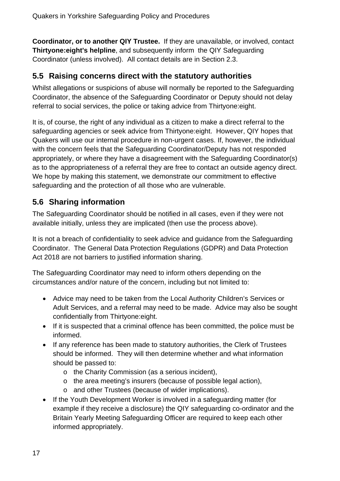**Coordinator, or to another QIY Trustee.** If they are unavailable, or involved, contact **Thirtyone:eight's helpline**, and subsequently inform the QIY Safeguarding Coordinator (unless involved). All contact details are in Section 2.3.

### **5.5 Raising concerns direct with the statutory authorities**

Whilst allegations or suspicions of abuse will normally be reported to the Safeguarding Coordinator, the absence of the Safeguarding Coordinator or Deputy should not delay referral to social services, the police or taking advice from Thirtyone:eight.

It is, of course, the right of any individual as a citizen to make a direct referral to the safeguarding agencies or seek advice from Thirtyone:eight. However, QIY hopes that Quakers will use our internal procedure in non-urgent cases. If, however, the individual with the concern feels that the Safeguarding Coordinator/Deputy has not responded appropriately, or where they have a disagreement with the Safeguarding Coordinator(s) as to the appropriateness of a referral they are free to contact an outside agency direct. We hope by making this statement, we demonstrate our commitment to effective safeguarding and the protection of all those who are vulnerable.

# **5.6 Sharing information**

The Safeguarding Coordinator should be notified in all cases, even if they were not available initially, unless they are implicated (then use the process above).

It is not a breach of confidentiality to seek advice and guidance from the Safeguarding Coordinator. The General Data Protection Regulations (GDPR) and Data Protection Act 2018 are not barriers to justified information sharing.

The Safeguarding Coordinator may need to inform others depending on the circumstances and/or nature of the concern, including but not limited to:

- Advice may need to be taken from the Local Authority Children's Services or Adult Services, and a referral may need to be made. Advice may also be sought confidentially from Thirtyone:eight.
- If it is suspected that a criminal offence has been committed, the police must be informed.
- If any reference has been made to statutory authorities, the Clerk of Trustees should be informed. They will then determine whether and what information should be passed to:
	- o the Charity Commission (as a serious incident),
	- o the area meeting's insurers (because of possible legal action),
	- o and other Trustees (because of wider implications).
- If the Youth Development Worker is involved in a safeguarding matter (for example if they receive a disclosure) the QIY safeguarding co-ordinator and the Britain Yearly Meeting Safeguarding Officer are required to keep each other informed appropriately.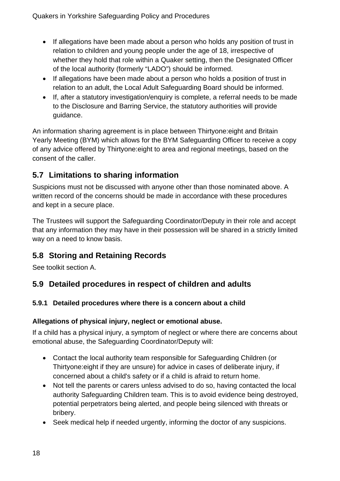- If allegations have been made about a person who holds any position of trust in relation to children and young people under the age of 18, irrespective of whether they hold that role within a Quaker setting, then the Designated Officer of the local authority (formerly "LADO") should be informed.
- If allegations have been made about a person who holds a position of trust in relation to an adult, the Local Adult Safeguarding Board should be informed.
- If, after a statutory investigation/enquiry is complete, a referral needs to be made to the Disclosure and Barring Service, the statutory authorities will provide guidance.

An information sharing agreement is in place between Thirtyone:eight and Britain Yearly Meeting (BYM) which allows for the BYM Safeguarding Officer to receive a copy of any advice offered by Thirtyone:eight to area and regional meetings, based on the consent of the caller.

# **5.7 Limitations to sharing information**

Suspicions must not be discussed with anyone other than those nominated above. A written record of the concerns should be made in accordance with these procedures and kept in a secure place.

The Trustees will support the Safeguarding Coordinator/Deputy in their role and accept that any information they may have in their possession will be shared in a strictly limited way on a need to know basis.

# **5.8 Storing and Retaining Records**

See toolkit section A.

# **5.9 Detailed procedures in respect of children and adults**

### **5.9.1 Detailed procedures where there is a concern about a child**

### **Allegations of physical injury, neglect or emotional abuse.**

If a child has a physical injury, a symptom of neglect or where there are concerns about emotional abuse, the Safeguarding Coordinator/Deputy will:

- Contact the local authority team responsible for Safeguarding Children (or Thirtyone:eight if they are unsure) for advice in cases of deliberate injury, if concerned about a child's safety or if a child is afraid to return home.
- Not tell the parents or carers unless advised to do so, having contacted the local authority Safeguarding Children team. This is to avoid evidence being destroyed, potential perpetrators being alerted, and people being silenced with threats or bribery.
- Seek medical help if needed urgently, informing the doctor of any suspicions.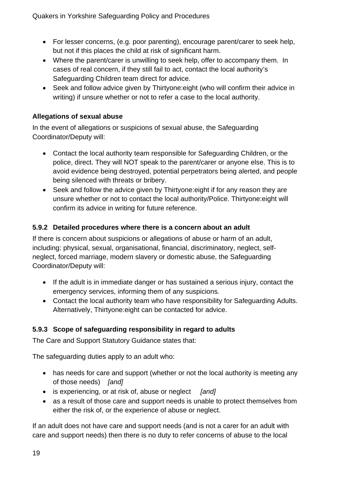- For lesser concerns, (e.g. poor parenting), encourage parent/carer to seek help, but not if this places the child at risk of significant harm.
- Where the parent/carer is unwilling to seek help, offer to accompany them. In cases of real concern, if they still fail to act, contact the local authority's Safeguarding Children team direct for advice.
- Seek and follow advice given by Thirtyone:eight (who will confirm their advice in writing) if unsure whether or not to refer a case to the local authority.

#### **Allegations of sexual abuse**

In the event of allegations or suspicions of sexual abuse, the Safeguarding Coordinator/Deputy will:

- Contact the local authority team responsible for Safeguarding Children, or the police, direct. They will NOT speak to the parent/carer or anyone else. This is to avoid evidence being destroyed, potential perpetrators being alerted, and people being silenced with threats or bribery.
- Seek and follow the advice given by Thirtyone: eight if for any reason they are unsure whether or not to contact the local authority/Police. Thirtyone:eight will confirm its advice in writing for future reference.

#### **5.9.2 Detailed procedures where there is a concern about an adult**

If there is concern about suspicions or allegations of abuse or harm of an adult, including: physical, sexual, organisational, financial, discriminatory, neglect, selfneglect, forced marriage, modern slavery or domestic abuse, the Safeguarding Coordinator/Deputy will:

- If the adult is in immediate danger or has sustained a serious injury, contact the emergency services, informing them of any suspicions.
- Contact the local authority team who have responsibility for Safeguarding Adults. Alternatively, Thirtyone:eight can be contacted for advice.

#### **5.9.3 Scope of safeguarding responsibility in regard to adults**

The Care and Support Statutory Guidance states that:

The safeguarding duties apply to an adult who:

- has needs for care and support (whether or not the local authority is meeting any of those needs) *[and]*
- is experiencing, or at risk of, abuse or neglect *[and]*
- as a result of those care and support needs is unable to protect themselves from either the risk of, or the experience of abuse or neglect.

If an adult does not have care and support needs (and is not a carer for an adult with care and support needs) then there is no duty to refer concerns of abuse to the local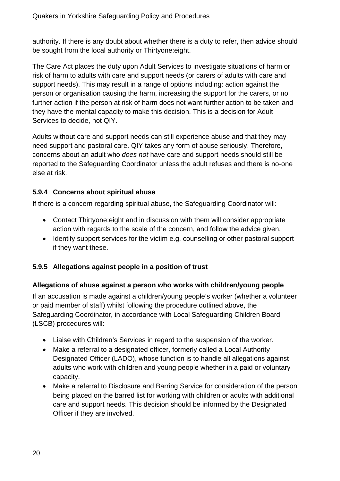authority. If there is any doubt about whether there is a duty to refer, then advice should be sought from the local authority or Thirtyone:eight.

The Care Act places the duty upon Adult Services to investigate situations of harm or risk of harm to adults with care and support needs (or carers of adults with care and support needs). This may result in a range of options including: action against the person or organisation causing the harm, increasing the support for the carers, or no further action if the person at risk of harm does not want further action to be taken and they have the mental capacity to make this decision. This is a decision for Adult Services to decide, not QIY.

Adults without care and support needs can still experience abuse and that they may need support and pastoral care. QIY takes any form of abuse seriously. Therefore, concerns about an adult who *does not* have care and support needs should still be reported to the Safeguarding Coordinator unless the adult refuses and there is no-one else at risk.

#### **5.9.4 Concerns about spiritual abuse**

If there is a concern regarding spiritual abuse, the Safeguarding Coordinator will:

- Contact Thirtyone:eight and in discussion with them will consider appropriate action with regards to the scale of the concern, and follow the advice given.
- Identify support services for the victim e.g. counselling or other pastoral support if they want these.

#### **5.9.5 Allegations against people in a position of trust**

#### **Allegations of abuse against a person who works with children/young people**

If an accusation is made against a children/young people's worker (whether a volunteer or paid member of staff) whilst following the procedure outlined above, the Safeguarding Coordinator, in accordance with Local Safeguarding Children Board (LSCB) procedures will:

- Liaise with Children's Services in regard to the suspension of the worker.
- Make a referral to a designated officer, formerly called a Local Authority Designated Officer (LADO), whose function is to handle all allegations against adults who work with children and young people whether in a paid or voluntary capacity.
- Make a referral to Disclosure and Barring Service for consideration of the person being placed on the barred list for working with children or adults with additional care and support needs. This decision should be informed by the Designated Officer if they are involved.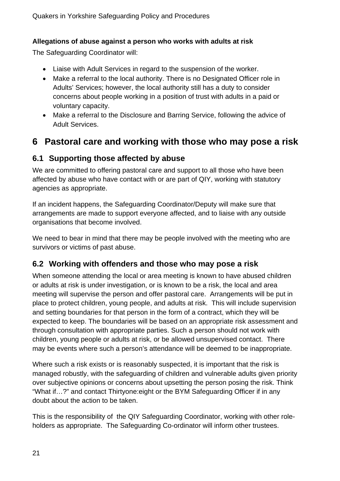#### **Allegations of abuse against a person who works with adults at risk**

The Safeguarding Coordinator will:

- Liaise with Adult Services in regard to the suspension of the worker.
- Make a referral to the local authority. There is no Designated Officer role in Adults' Services; however, the local authority still has a duty to consider concerns about people working in a position of trust with adults in a paid or voluntary capacity.
- Make a referral to the Disclosure and Barring Service, following the advice of Adult Services.

# **6 Pastoral care and working with those who may pose a risk**

# **6.1 Supporting those affected by abuse**

We are committed to offering pastoral care and support to all those who have been affected by abuse who have contact with or are part of QIY, working with statutory agencies as appropriate.

If an incident happens, the Safeguarding Coordinator/Deputy will make sure that arrangements are made to support everyone affected, and to liaise with any outside organisations that become involved.

We need to bear in mind that there may be people involved with the meeting who are survivors or victims of past abuse.

# **6.2 Working with offenders and those who may pose a risk**

When someone attending the local or area meeting is known to have abused children or adults at risk is under investigation, or is known to be a risk, the local and area meeting will supervise the person and offer pastoral care. Arrangements will be put in place to protect children, young people, and adults at risk. This will include supervision and setting boundaries for that person in the form of a contract, which they will be expected to keep. The boundaries will be based on an appropriate risk assessment and through consultation with appropriate parties. Such a person should not work with children, young people or adults at risk, or be allowed unsupervised contact. There may be events where such a person's attendance will be deemed to be inappropriate.

Where such a risk exists or is reasonably suspected, it is important that the risk is managed robustly, with the safeguarding of children and vulnerable adults given priority over subjective opinions or concerns about upsetting the person posing the risk. Think "What if…?" and contact Thirtyone:eight or the BYM Safeguarding Officer if in any doubt about the action to be taken.

This is the responsibility of the QIY Safeguarding Coordinator, working with other roleholders as appropriate. The Safeguarding Co-ordinator will inform other trustees.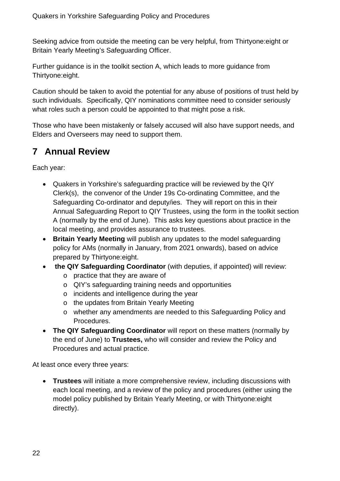Seeking advice from outside the meeting can be very helpful, from Thirtyone:eight or Britain Yearly Meeting's Safeguarding Officer.

Further guidance is in the toolkit section A, which leads to more guidance from Thirtyone:eight.

Caution should be taken to avoid the potential for any abuse of positions of trust held by such individuals. Specifically, QIY nominations committee need to consider seriously what roles such a person could be appointed to that might pose a risk.

Those who have been mistakenly or falsely accused will also have support needs, and Elders and Overseers may need to support them.

# **7 Annual Review**

Each year:

- Quakers in Yorkshire's safeguarding practice will be reviewed by the QIY Clerk(s), the convenor of the Under 19s Co-ordinating Committee, and the Safeguarding Co-ordinator and deputy/ies. They will report on this in their Annual Safeguarding Report to QIY Trustees, using the form in the toolkit section A (normally by the end of June). This asks key questions about practice in the local meeting, and provides assurance to trustees.
- **Britain Yearly Meeting** will publish any updates to the model safeguarding policy for AMs (normally in January, from 2021 onwards), based on advice prepared by Thirtyone:eight.
- **the QIY Safeguarding Coordinator** (with deputies, if appointed) will review:
	- o practice that they are aware of
	- o QIY's safeguarding training needs and opportunities
	- o incidents and intelligence during the year
	- o the updates from Britain Yearly Meeting
	- o whether any amendments are needed to this Safeguarding Policy and Procedures.
- **The QIY Safeguarding Coordinator** will report on these matters (normally by the end of June) to **Trustees,** who will consider and review the Policy and Procedures and actual practice.

At least once every three years:

 **Trustees** will initiate a more comprehensive review, including discussions with each local meeting, and a review of the policy and procedures (either using the model policy published by Britain Yearly Meeting, or with Thirtyone:eight directly).